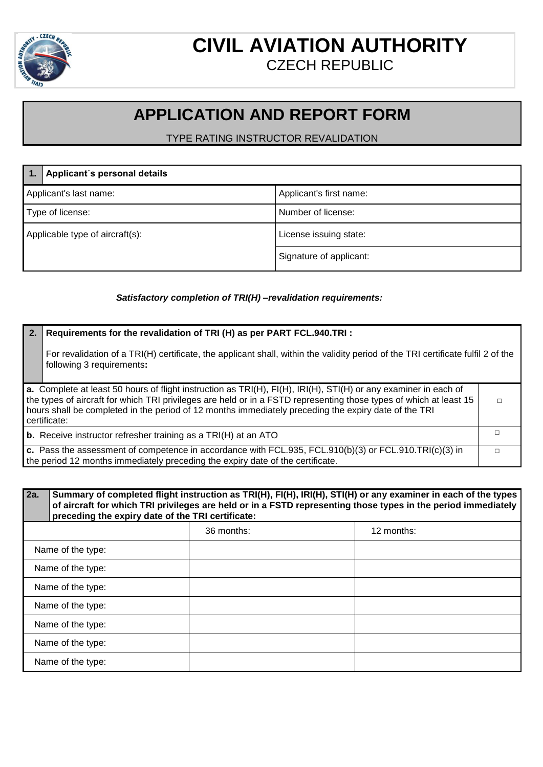

### **CIVIL AVIATION AUTHORITY** CZECH REPUBLIC

## **APPLICATION AND REPORT FORM**

TYPE RATING INSTRUCTOR REVALIDATION

|                                 | Applicant's personal details |                         |
|---------------------------------|------------------------------|-------------------------|
| Applicant's last name:          |                              | Applicant's first name: |
| Type of license:                |                              | Number of license:      |
| Applicable type of aircraft(s): |                              | License issuing state:  |
|                                 |                              | Signature of applicant: |

#### *Satisfactory completion of TRI(H) –revalidation requirements:*

#### **2. Requirements for the revalidation of TRI (H) as per PART FCL.940.TRI :**

For revalidation of a TRI(H) certificate, the applicant shall, within the validity period of the TRI certificate fulfil 2 of the following 3 requirements**:**

| a. Complete at least 50 hours of flight instruction as $TRI(H)$ , $FI(H)$ , $IRI(H)$ , $STI(H)$ or any examiner in each of<br>  the types of aircraft for which TRI privileges are held or in a FSTD representing those types of which at least 15<br>hours shall be completed in the period of 12 months immediately preceding the expiry date of the TRI<br>certificate: |  |
|----------------------------------------------------------------------------------------------------------------------------------------------------------------------------------------------------------------------------------------------------------------------------------------------------------------------------------------------------------------------------|--|
|                                                                                                                                                                                                                                                                                                                                                                            |  |

**b.** Receive instructor refresher training as a TRI(H) at an ATO

**c.** Pass the assessment of competence in accordance with FCL.935, FCL.910(b)(3) or FCL.910.TRI(c)(3) in the period 12 months immediately preceding the expiry date of the certificate.  $\Box$ 

| Summary of completed flight instruction as TRI(H), FI(H), IRI(H), STI(H) or any examiner in each of the types<br>of aircraft for which TRI privileges are held or in a FSTD representing those types in the period immediately<br>preceding the expiry date of the TRI certificate: |            |            |
|-------------------------------------------------------------------------------------------------------------------------------------------------------------------------------------------------------------------------------------------------------------------------------------|------------|------------|
|                                                                                                                                                                                                                                                                                     | 36 months: | 12 months: |

|                   | 36 months: | 12 months: |
|-------------------|------------|------------|
| Name of the type: |            |            |
| Name of the type: |            |            |
| Name of the type: |            |            |
| Name of the type: |            |            |
| Name of the type: |            |            |
| Name of the type: |            |            |
| Name of the type: |            |            |